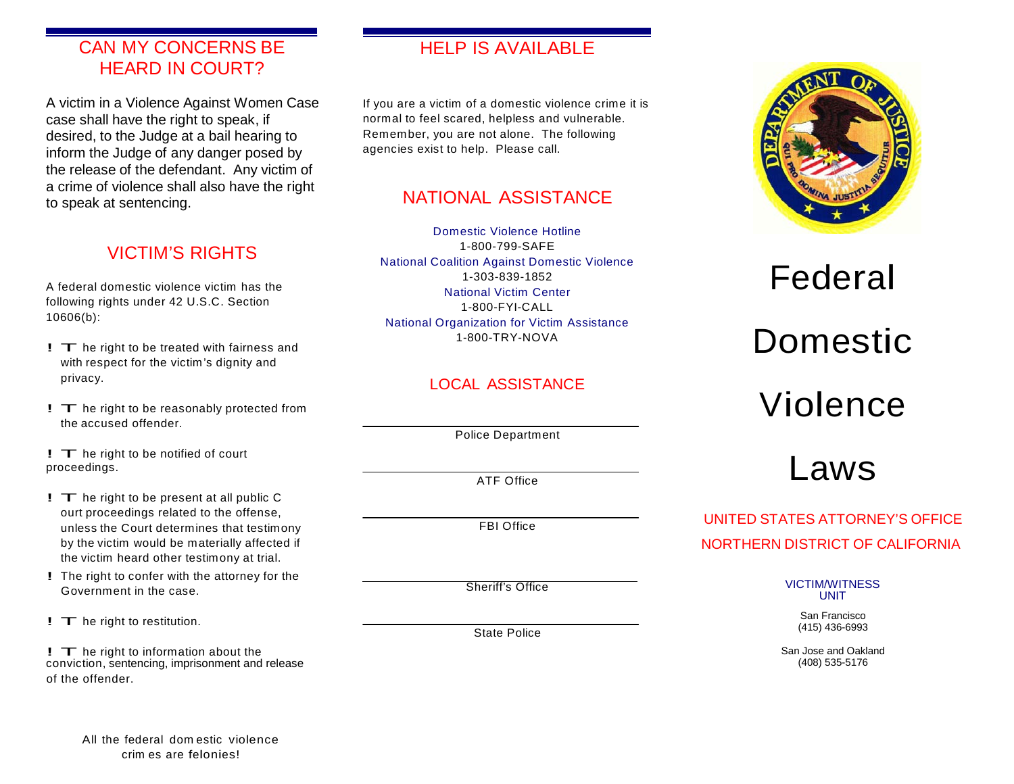### CAN MY CONCERNS BE HEARD IN COURT?

A victim in a Violence Against Women Case case shall have the right to speak, if desired, to the Judge at a bail hearing to inform the Judge of any danger posed by the release of the defendant. Any victim of a crime of violence shall also have the right to speak at sentencing.

## VICTIM'S RIGHTS

A federal domestic violence victim has the following rights under 42 U.S.C. Section 10606(b):

- **!** T he right to be treated with fairness and with respect for the victim's dignity and privacy.
- **!** T he right to be reasonably protected from the accused offender.

! The right to be notified of court proceedings.

- $!$   $\top$  he right to be present at all public C ourt proceedings related to the offense, unless the Court determines that testimony by the victim would be materially affected if the victim heard other testimony at trial.
- ! The right to confer with the attorney for the Government in the case.

! T he right to restitution.

! The right to information about the conviction, sentencing, imprisonment and release of the offender.

## HELP IS AVAILABLE

If you are a victim of a domestic violence crime it is normal to feel scared, helpless and vulnerable. Remember, you are not alone. The following agencies exist to help. Please call.

## NATIONAL ASSISTANCE

Domestic Violence Hotline 1-800-799-SAFE National Coalition Against Domestic Violence 1-303-839-1852 National Victim Center 1-800-FYI-CALL National Organization for Victim Assistance 1-800-TRY-NOVA

#### LOCAL ASSISTANCE

Police Department

ATF Office

FBI Office

Sheriff's Office

State Police



# Federal Domestic Violence Laws

## UNITED STATES ATTORNEY'S OFFICE NORTHERN DISTRICT OF CALIFORNIA

VICTIM/WITNESS UNIT

> San Francisco (415) 436-6993

San Jose and Oakland (408) 535-5176

All the federal dom estic violence crim es are felonies!